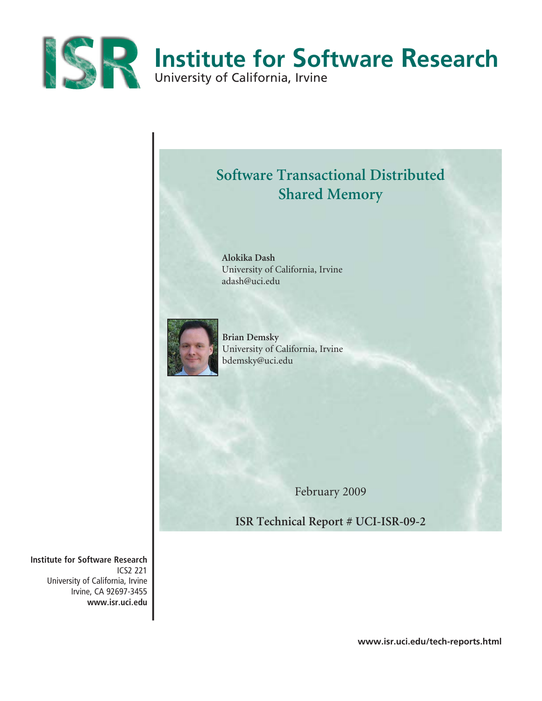



**Alokika Dash**  University of California, Irvine adash@uci.edu



**Brian Demsky** University of California, Irvine bdemsky@uci.edu

February 2009

**ISR Technical Report # UCI-ISR-09-2**

**Institute for Software Research** ICS2 221 University of California, Irvine Irvine, CA 92697-3455 **www.isr.uci.edu**

**www.isr.uci.edu/tech-reports.html**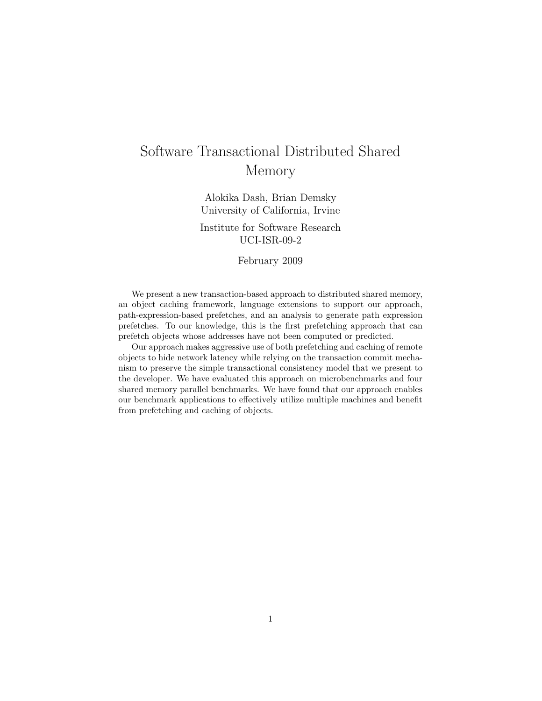# Software Transactional Distributed Shared Memory

Alokika Dash, Brian Demsky University of California, Irvine

## Institute for Software Research UCI-ISR-09-2

February 2009

We present a new transaction-based approach to distributed shared memory, an object caching framework, language extensions to support our approach, path-expression-based prefetches, and an analysis to generate path expression prefetches. To our knowledge, this is the first prefetching approach that can prefetch objects whose addresses have not been computed or predicted.

Our approach makes aggressive use of both prefetching and caching of remote objects to hide network latency while relying on the transaction commit mechanism to preserve the simple transactional consistency model that we present to the developer. We have evaluated this approach on microbenchmarks and four shared memory parallel benchmarks. We have found that our approach enables our benchmark applications to effectively utilize multiple machines and benefit from prefetching and caching of objects.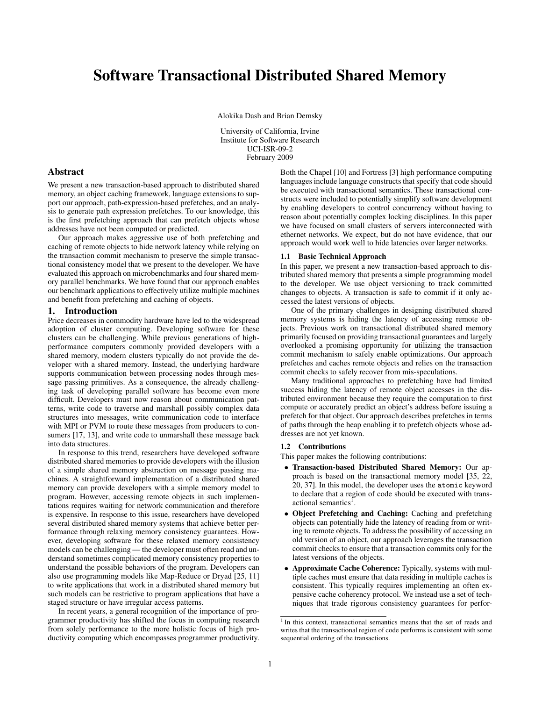## Software Transactional Distributed Shared Memory

Alokika Dash and Brian Demsky

University of California, Irvine Institute for Software Research UCI-ISR-09-2 February 2009

## Abstract

We present a new transaction-based approach to distributed shared memory, an object caching framework, language extensions to support our approach, path-expression-based prefetches, and an analysis to generate path expression prefetches. To our knowledge, this is the first prefetching approach that can prefetch objects whose addresses have not been computed or predicted.

Our approach makes aggressive use of both prefetching and caching of remote objects to hide network latency while relying on the transaction commit mechanism to preserve the simple transactional consistency model that we present to the developer. We have evaluated this approach on microbenchmarks and four shared memory parallel benchmarks. We have found that our approach enables our benchmark applications to effectively utilize multiple machines and benefit from prefetching and caching of objects.

#### 1. Introduction

Price decreases in commodity hardware have led to the widespread adoption of cluster computing. Developing software for these clusters can be challenging. While previous generations of highperformance computers commonly provided developers with a shared memory, modern clusters typically do not provide the developer with a shared memory. Instead, the underlying hardware supports communication between processing nodes through message passing primitives. As a consequence, the already challenging task of developing parallel software has become even more difficult. Developers must now reason about communication patterns, write code to traverse and marshall possibly complex data structures into messages, write communication code to interface with MPI or PVM to route these messages from producers to consumers [17, 13], and write code to unmarshall these message back into data structures.

In response to this trend, researchers have developed software distributed shared memories to provide developers with the illusion of a simple shared memory abstraction on message passing machines. A straightforward implementation of a distributed shared memory can provide developers with a simple memory model to program. However, accessing remote objects in such implementations requires waiting for network communication and therefore is expensive. In response to this issue, researchers have developed several distributed shared memory systems that achieve better performance through relaxing memory consistency guarantees. However, developing software for these relaxed memory consistency models can be challenging — the developer must often read and understand sometimes complicated memory consistency properties to understand the possible behaviors of the program. Developers can also use programming models like Map-Reduce or Dryad [25, 11] to write applications that work in a distributed shared memory but such models can be restrictive to program applications that have a staged structure or have irregular access patterns.

In recent years, a general recognition of the importance of programmer productivity has shifted the focus in computing research from solely performance to the more holistic focus of high productivity computing which encompasses programmer productivity.

Both the Chapel [10] and Fortress [3] high performance computing languages include language constructs that specify that code should be executed with transactional semantics. These transactional constructs were included to potentially simplify software development by enabling developers to control concurrency without having to reason about potentially complex locking disciplines. In this paper we have focused on small clusters of servers interconnected with ethernet networks. We expect, but do not have evidence, that our approach would work well to hide latencies over larger networks.

#### 1.1 Basic Technical Approach

In this paper, we present a new transaction-based approach to distributed shared memory that presents a simple programming model to the developer. We use object versioning to track committed changes to objects. A transaction is safe to commit if it only accessed the latest versions of objects.

One of the primary challenges in designing distributed shared memory systems is hiding the latency of accessing remote objects. Previous work on transactional distributed shared memory primarily focused on providing transactional guarantees and largely overlooked a promising opportunity for utilizing the transaction commit mechanism to safely enable optimizations. Our approach prefetches and caches remote objects and relies on the transaction commit checks to safely recover from mis-speculations.

Many traditional approaches to prefetching have had limited success hiding the latency of remote object accesses in the distributed environment because they require the computation to first compute or accurately predict an object's address before issuing a prefetch for that object. Our approach describes prefetches in terms of paths through the heap enabling it to prefetch objects whose addresses are not yet known.

#### 1.2 Contributions

This paper makes the following contributions:

- Transaction-based Distributed Shared Memory: Our approach is based on the transactional memory model [35, 22, 20, 37]. In this model, the developer uses the atomic keyword to declare that a region of code should be executed with transactional semantics<sup>1</sup>.
- Object Prefetching and Caching: Caching and prefetching objects can potentially hide the latency of reading from or writing to remote objects. To address the possibility of accessing an old version of an object, our approach leverages the transaction commit checks to ensure that a transaction commits only for the latest versions of the objects.
- Approximate Cache Coherence: Typically, systems with multiple caches must ensure that data residing in multiple caches is consistent. This typically requires implementing an often expensive cache coherency protocol. We instead use a set of techniques that trade rigorous consistency guarantees for perfor-

<sup>&</sup>lt;sup>1</sup> In this context, transactional semantics means that the set of reads and writes that the transactional region of code performs is consistent with some sequential ordering of the transactions.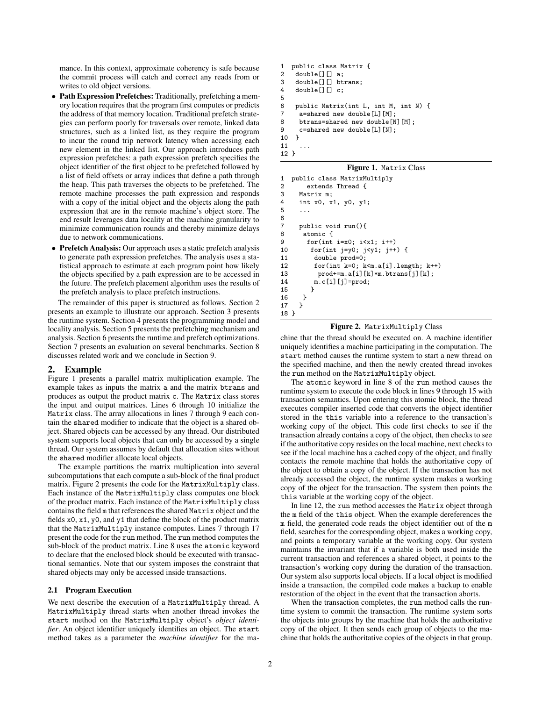mance. In this context, approximate coherency is safe because the commit process will catch and correct any reads from or writes to old object versions.

- Path Expression Prefetches: Traditionally, prefetching a memory location requires that the program first computes or predicts the address of that memory location. Traditional prefetch strategies can perform poorly for traversals over remote, linked data structures, such as a linked list, as they require the program to incur the round trip network latency when accessing each new element in the linked list. Our approach introduces path expression prefetches: a path expression prefetch specifies the object identifier of the first object to be prefetched followed by a list of field offsets or array indices that define a path through the heap. This path traverses the objects to be prefetched. The remote machine processes the path expression and responds with a copy of the initial object and the objects along the path expression that are in the remote machine's object store. The end result leverages data locality at the machine granularity to minimize communication rounds and thereby minimize delays due to network communications.
- Prefetch Analysis: Our approach uses a static prefetch analysis to generate path expression prefetches. The analysis uses a statistical approach to estimate at each program point how likely the objects specified by a path expression are to be accessed in the future. The prefetch placement algorithm uses the results of the prefetch analysis to place prefetch instructions.

The remainder of this paper is structured as follows. Section 2 presents an example to illustrate our approach. Section 3 presents the runtime system. Section 4 presents the programming model and locality analysis. Section 5 presents the prefetching mechanism and analysis. Section 6 presents the runtime and prefetch optimizations. Section 7 presents an evaluation on several benchmarks. Section 8 discusses related work and we conclude in Section 9.

#### 2. Example

Figure 1 presents a parallel matrix multiplication example. The example takes as inputs the matrix a and the matrix btrans and produces as output the product matrix c. The Matrix class stores the input and output matrices. Lines 6 through 10 initialize the Matrix class. The array allocations in lines 7 through 9 each contain the shared modifier to indicate that the object is a shared object. Shared objects can be accessed by any thread. Our distributed system supports local objects that can only be accessed by a single thread. Our system assumes by default that allocation sites without the shared modifier allocate local objects.

The example partitions the matrix multiplication into several subcomputations that each compute a sub-block of the final product matrix. Figure 2 presents the code for the MatrixMultiply class. Each instance of the MatrixMultiply class computes one block of the product matrix. Each instance of the MatrixMultiply class contains the field m that references the shared Matrix object and the fields x0, x1, y0, and y1 that define the block of the product matrix that the MatrixMultiply instance computes. Lines 7 through 17 present the code for the run method. The run method computes the sub-block of the product matrix. Line 8 uses the atomic keyword to declare that the enclosed block should be executed with transactional semantics. Note that our system imposes the constraint that shared objects may only be accessed inside transactions.

#### 2.1 Program Execution

We next describe the execution of a MatrixMultiply thread. A MatrixMultiply thread starts when another thread invokes the start method on the MatrixMultiply object's *object identifier*. An object identifier uniquely identifies an object. The start method takes as a parameter the *machine identifier* for the ma-

```
1 public class Matrix {<br>2 double[][] a.
2 double[[][] a;<br>3 double[[][] bt;
     double[][] btrans;
4 double[][] c;
\frac{5}{6}6 public Matrix(int L, int M, int N) {
7 a=shared new double[L][M];<br>8 btrans=shared new double[N]
      btrans=shared new double[N][M];
9 c=shared new double[L][N];
10 }
11
12 }
```
#### Figure 1. Matrix Class

```
1 public class MatrixMultiply<br>2 extends Thread {
2 extends Thread {<br>3 Matrix m:
3 Matrix m;<br>4 int x0 - x4 int x0, x1, y0, y1;<br>5 ...
     5 ...
6 \overline{7}7 public void run(){<br>8 atomic {
      atomic {
9 for(int i=x0; i<x1; i++)
10 for(int j=y0; j<y1; j++) {
11 double prod=0;
12 for(int k=0; k<m.a[i].length; k++)
13 prod+=m.a[i][k]*m.btrans[j][k];
14 m.c[i][j]=prod;
15 }
16 }
17 }
18 }
```
#### Figure 2. MatrixMultiply Class

chine that the thread should be executed on. A machine identifier uniquely identifies a machine participating in the computation. The start method causes the runtime system to start a new thread on the specified machine, and then the newly created thread invokes the run method on the MatrixMultiply object.

The atomic keyword in line 8 of the run method causes the runtime system to execute the code block in lines 9 through 15 with transaction semantics. Upon entering this atomic block, the thread executes compiler inserted code that converts the object identifier stored in the this variable into a reference to the transaction's working copy of the object. This code first checks to see if the transaction already contains a copy of the object, then checks to see if the authoritative copy resides on the local machine, next checks to see if the local machine has a cached copy of the object, and finally contacts the remote machine that holds the authoritative copy of the object to obtain a copy of the object. If the transaction has not already accessed the object, the runtime system makes a working copy of the object for the transaction. The system then points the this variable at the working copy of the object.

In line 12, the run method accesses the Matrix object through the m field of the this object. When the example dereferences the m field, the generated code reads the object identifier out of the m field, searches for the corresponding object, makes a working copy, and points a temporary variable at the working copy. Our system maintains the invariant that if a variable is both used inside the current transaction and references a shared object, it points to the transaction's working copy during the duration of the transaction. Our system also supports local objects. If a local object is modified inside a transaction, the compiled code makes a backup to enable restoration of the object in the event that the transaction aborts.

When the transaction completes, the run method calls the runtime system to commit the transaction. The runtime system sorts the objects into groups by the machine that holds the authoritative copy of the object. It then sends each group of objects to the machine that holds the authoritative copies of the objects in that group.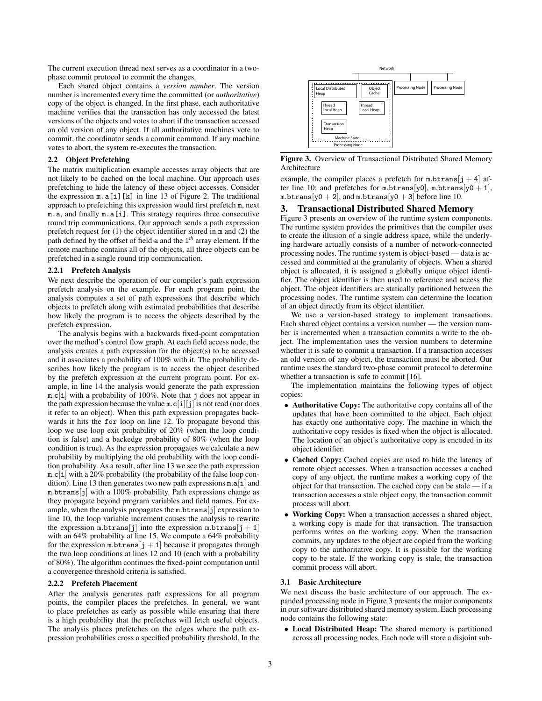The current execution thread next serves as a coordinator in a twophase commit protocol to commit the changes.

Each shared object contains a *version number*. The version number is incremented every time the committed (or *authoritative*) copy of the object is changed. In the first phase, each authoritative machine verifies that the transaction has only accessed the latest versions of the objects and votes to abort if the transaction accessed an old version of any object. If all authoritative machines vote to commit, the coordinator sends a commit command. If any machine votes to abort, the system re-executes the transaction.

## 2.2 Object Prefetching

The matrix multiplication example accesses array objects that are not likely to be cached on the local machine. Our approach uses prefetching to hide the latency of these object accesses. Consider the expression  $m.a[i][k]$  in line 13 of Figure 2. The traditional approach to prefetching this expression would first prefetch m, next m.a, and finally m.a[i]. This strategy requires three consecutive round trip communications. Our approach sends a path expression prefetch request for (1) the object identifier stored in m and (2) the path defined by the offset of field a and the i *th* array element. If the remote machine contains all of the objects, all three objects can be prefetched in a single round trip communication.

#### 2.2.1 Prefetch Analysis

We next describe the operation of our compiler's path expression prefetch analysis on the example. For each program point, the analysis computes a set of path expressions that describe which objects to prefetch along with estimated probabilities that describe how likely the program is to access the objects described by the prefetch expression.

The analysis begins with a backwards fixed-point computation over the method's control flow graph. At each field access node, the analysis creates a path expression for the object(s) to be accessed and it associates a probability of 100% with it. The probability describes how likely the program is to access the object described by the prefetch expression at the current program point. For example, in line 14 the analysis would generate the path expression m.c[i] with a probability of 100%. Note that j does not appear in the path expression because the value  $m.c[i][j]$  is not read (nor does it refer to an object). When this path expression propagates backwards it hits the for loop on line 12. To propagate beyond this loop we use loop exit probability of 20% (when the loop condition is false) and a backedge probability of 80% (when the loop condition is true). As the expression propagates we calculate a new probability by multiplying the old probability with the loop condition probability. As a result, after line 13 we see the path expression m.c[i] with a 20% probability (the probability of the false loop condition). Line 13 then generates two new path expressions m.a[i] and m.btrans[j] with a 100% probability. Path expressions change as they propagate beyond program variables and field names. For example, when the analysis propagates the m.btrans[j] expression to line 10, the loop variable increment causes the analysis to rewrite the expression m.btrans[j] into the expression m.btrans[j + 1] with an 64% probability at line 15. We compute a 64% probability for the expression  $m.btrans[j + 1]$  because it propagates through the two loop conditions at lines 12 and 10 (each with a probability of 80%). The algorithm continues the fixed-point computation until a convergence threshold criteria is satisfied.

#### 2.2.2 Prefetch Placement

After the analysis generates path expressions for all program points, the compiler places the prefetches. In general, we want to place prefetches as early as possible while ensuring that there is a high probability that the prefetches will fetch useful objects. The analysis places prefetches on the edges where the path expression probabilities cross a specified probability threshold. In the



Figure 3. Overview of Transactional Distributed Shared Memory Architecture

example, the compiler places a prefetch for  $m.btrans[j + 4]$  after line 10; and prefetches for m.btrans $[y0]$ , m.btrans $[y0 + 1]$ , m.btrans[y0 + 2], and m.btrans[y0 + 3] before line 10.

### 3. Transactional Distributed Shared Memory

Figure 3 presents an overview of the runtime system components. The runtime system provides the primitives that the compiler uses to create the illusion of a single address space, while the underlying hardware actually consists of a number of network-connected processing nodes. The runtime system is object-based — data is accessed and committed at the granularity of objects. When a shared object is allocated, it is assigned a globally unique object identifier. The object identifier is then used to reference and access the object. The object identifiers are statically partitioned between the processing nodes. The runtime system can determine the location of an object directly from its object identifier.

We use a version-based strategy to implement transactions. Each shared object contains a version number — the version number is incremented when a transaction commits a write to the object. The implementation uses the version numbers to determine whether it is safe to commit a transaction. If a transaction accesses an old version of any object, the transaction must be aborted. Our runtime uses the standard two-phase commit protocol to determine whether a transaction is safe to commit [16].

The implementation maintains the following types of object copies:

- Authoritative Copy: The authoritative copy contains all of the updates that have been committed to the object. Each object has exactly one authoritative copy. The machine in which the authoritative copy resides is fixed when the object is allocated. The location of an object's authoritative copy is encoded in its object identifier.
- Cached Copy: Cached copies are used to hide the latency of remote object accesses. When a transaction accesses a cached copy of any object, the runtime makes a working copy of the object for that transaction. The cached copy can be stale — if a transaction accesses a stale object copy, the transaction commit process will abort.
- Working Copy: When a transaction accesses a shared object, a working copy is made for that transaction. The transaction performs writes on the working copy. When the transaction commits, any updates to the object are copied from the working copy to the authoritative copy. It is possible for the working copy to be stale. If the working copy is stale, the transaction commit process will abort.

#### 3.1 Basic Architecture

We next discuss the basic architecture of our approach. The expanded processing node in Figure 3 presents the major components in our software distributed shared memory system. Each processing node contains the following state:

• Local Distributed Heap: The shared memory is partitioned across all processing nodes. Each node will store a disjoint sub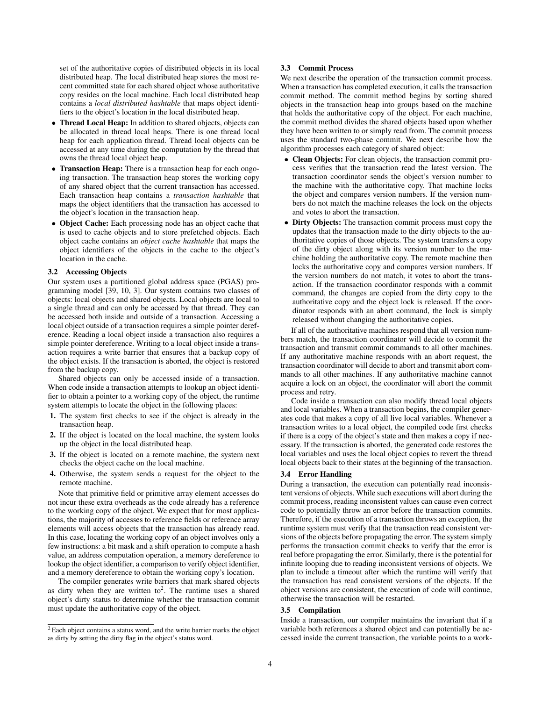set of the authoritative copies of distributed objects in its local distributed heap. The local distributed heap stores the most recent committed state for each shared object whose authoritative copy resides on the local machine. Each local distributed heap contains a *local distributed hashtable* that maps object identifiers to the object's location in the local distributed heap.

- Thread Local Heap: In addition to shared objects, objects can be allocated in thread local heaps. There is one thread local heap for each application thread. Thread local objects can be accessed at any time during the computation by the thread that owns the thread local object heap.
- Transaction Heap: There is a transaction heap for each ongoing transaction. The transaction heap stores the working copy of any shared object that the current transaction has accessed. Each transaction heap contains a *transaction hashtable* that maps the object identifiers that the transaction has accessed to the object's location in the transaction heap.
- Object Cache: Each processing node has an object cache that is used to cache objects and to store prefetched objects. Each object cache contains an *object cache hashtable* that maps the object identifiers of the objects in the cache to the object's location in the cache.

## 3.2 Accessing Objects

Our system uses a partitioned global address space (PGAS) programming model [39, 10, 3]. Our system contains two classes of objects: local objects and shared objects. Local objects are local to a single thread and can only be accessed by that thread. They can be accessed both inside and outside of a transaction. Accessing a local object outside of a transaction requires a simple pointer dereference. Reading a local object inside a transaction also requires a simple pointer dereference. Writing to a local object inside a transaction requires a write barrier that ensures that a backup copy of the object exists. If the transaction is aborted, the object is restored from the backup copy.

Shared objects can only be accessed inside of a transaction. When code inside a transaction attempts to lookup an object identifier to obtain a pointer to a working copy of the object, the runtime system attempts to locate the object in the following places:

- 1. The system first checks to see if the object is already in the transaction heap.
- 2. If the object is located on the local machine, the system looks up the object in the local distributed heap.
- 3. If the object is located on a remote machine, the system next checks the object cache on the local machine.
- 4. Otherwise, the system sends a request for the object to the remote machine.

Note that primitive field or primitive array element accesses do not incur these extra overheads as the code already has a reference to the working copy of the object. We expect that for most applications, the majority of accesses to reference fields or reference array elements will access objects that the transaction has already read. In this case, locating the working copy of an object involves only a few instructions: a bit mask and a shift operation to compute a hash value, an address computation operation, a memory dereference to lookup the object identifier, a comparison to verify object identifier, and a memory dereference to obtain the working copy's location.

The compiler generates write barriers that mark shared objects as dirty when they are written to<sup>2</sup>. The runtime uses a shared object's dirty status to determine whether the transaction commit must update the authoritative copy of the object.

## 3.3 Commit Process

We next describe the operation of the transaction commit process. When a transaction has completed execution, it calls the transaction commit method. The commit method begins by sorting shared objects in the transaction heap into groups based on the machine that holds the authoritative copy of the object. For each machine, the commit method divides the shared objects based upon whether they have been written to or simply read from. The commit process uses the standard two-phase commit. We next describe how the algorithm processes each category of shared object:

- Clean Objects: For clean objects, the transaction commit process verifies that the transaction read the latest version. The transaction coordinator sends the object's version number to the machine with the authoritative copy. That machine locks the object and compares version numbers. If the version numbers do not match the machine releases the lock on the objects and votes to abort the transaction.
- Dirty Objects: The transaction commit process must copy the updates that the transaction made to the dirty objects to the authoritative copies of those objects. The system transfers a copy of the dirty object along with its version number to the machine holding the authoritative copy. The remote machine then locks the authoritative copy and compares version numbers. If the version numbers do not match, it votes to abort the transaction. If the transaction coordinator responds with a commit command, the changes are copied from the dirty copy to the authoritative copy and the object lock is released. If the coordinator responds with an abort command, the lock is simply released without changing the authoritative copies.

If all of the authoritative machines respond that all version numbers match, the transaction coordinator will decide to commit the transaction and transmit commit commands to all other machines. If any authoritative machine responds with an abort request, the transaction coordinator will decide to abort and transmit abort commands to all other machines. If any authoritative machine cannot acquire a lock on an object, the coordinator will abort the commit process and retry.

Code inside a transaction can also modify thread local objects and local variables. When a transaction begins, the compiler generates code that makes a copy of all live local variables. Whenever a transaction writes to a local object, the compiled code first checks if there is a copy of the object's state and then makes a copy if necessary. If the transaction is aborted, the generated code restores the local variables and uses the local object copies to revert the thread local objects back to their states at the beginning of the transaction.

#### 3.4 Error Handling

During a transaction, the execution can potentially read inconsistent versions of objects. While such executions will abort during the commit process, reading inconsistent values can cause even correct code to potentially throw an error before the transaction commits. Therefore, if the execution of a transaction throws an exception, the runtime system must verify that the transaction read consistent versions of the objects before propagating the error. The system simply performs the transaction commit checks to verify that the error is real before propagating the error. Similarly, there is the potential for infinite looping due to reading inconsistent versions of objects. We plan to include a timeout after which the runtime will verify that the transaction has read consistent versions of the objects. If the object versions are consistent, the execution of code will continue, otherwise the transaction will be restarted.

#### 3.5 Compilation

Inside a transaction, our compiler maintains the invariant that if a variable both references a shared object and can potentially be accessed inside the current transaction, the variable points to a work-

<sup>2</sup> Each object contains a status word, and the write barrier marks the object as dirty by setting the dirty flag in the object's status word.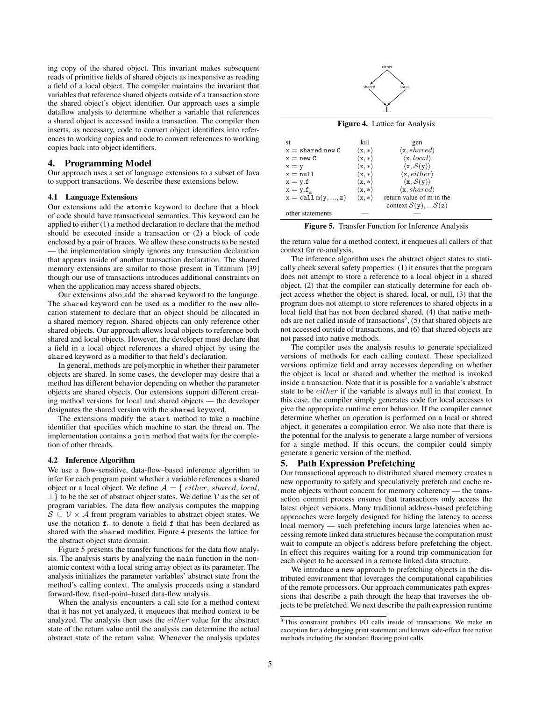ing copy of the shared object. This invariant makes subsequent reads of primitive fields of shared objects as inexpensive as reading a field of a local object. The compiler maintains the invariant that variables that reference shared objects outside of a transaction store the shared object's object identifier. Our approach uses a simple dataflow analysis to determine whether a variable that references a shared object is accessed inside a transaction. The compiler then inserts, as necessary, code to convert object identifiers into references to working copies and code to convert references to working copies back into object identifiers.

## 4. Programming Model

Our approach uses a set of language extensions to a subset of Java to support transactions. We describe these extensions below.

#### 4.1 Language Extensions

Our extensions add the atomic keyword to declare that a block of code should have transactional semantics. This keyword can be applied to either (1) a method declaration to declare that the method should be executed inside a transaction or (2) a block of code enclosed by a pair of braces. We allow these constructs to be nested — the implementation simply ignores any transaction declaration that appears inside of another transaction declaration. The shared memory extensions are similar to those present in Titanium [39] though our use of transactions introduces additional constraints on when the application may access shared objects. absolute the main of the return value of the return in the return value of the return value of the return value of the return value of the return value of the return value of the return value of the return value of the re

Our extensions also add the shared keyword to the language. The shared keyword can be used as a modifier to the new allocation statement to declare that an object should be allocated in a shared memory region. Shared objects can only reference other shared objects. Our approach allows local objects to reference both shared and local objects. However, the developer must declare that a field in a local object references a shared object by using the shared keyword as a modifier to that field's declaration.

In general, methods are polymorphic in whether their parameter objects are shared. In some cases, the developer may desire that a method has different behavior depending on whether the parameter objects are shared objects. Our extensions support different creating method versions for local and shared objects — the developer designates the shared version with the shared keyword.

The extensions modify the start method to take a machine identifier that specifies which machine to start the thread on. The implementation contains a join method that waits for the completion of other threads.

#### 4.2 Inference Algorithm

We use a flow-sensitive, data-flow–based inference algorithm to infer for each program point whether a variable references a shared object or a local object. We define  $A = \{ either, shared, local,$  $\perp$ } to be the set of abstract object states. We define V as the set of program variables. The data flow analysis computes the mapping  $S \subseteq V \times A$  from program variables to abstract object states. We use the notation  $f<sub>s</sub>$  to denote a field f that has been declared as shared with the shared modifier. Figure 4 presents the lattice for the abstract object state domain.

Figure 5 presents the transfer functions for the data flow analysis. The analysis starts by analyzing the main function in the nonatomic context with a local string array object as its parameter. The analysis initializes the parameter variables' abstract state from the method's calling context. The analysis proceeds using a standard forward-flow, fixed-point–based data-flow analysis.

When the analysis encounters a call site for a method context that it has not yet analyzed, it enqueues that method context to be analyzed. The analysis then uses the either value for the abstract state of the return value until the analysis can determine the actual abstract state of the return value. Whenever the analysis updates



Figure 4. Lattice for Analysis

| st                           | kill                                | gen                                  |
|------------------------------|-------------------------------------|--------------------------------------|
| $x =$ shared new C           | $\langle \mathtt{x}, \ast \rangle$  | $\langle x, shared \rangle$          |
| $x = new C$                  | $(x, *)$                            | $\langle \mathbf{x}, local \rangle$  |
| $x = y$                      | $[\mathbf{x}, *]$                   | $\langle x, \mathcal{S}(y) \rangle$  |
| $x = null$                   | $(\mathtt{x}, \ast)$                | $\langle \mathbf{x}, either \rangle$ |
| $x = y.f$                    | $(\mathbf{x}, *)$                   | $\langle x, \mathcal{S}(y) \rangle$  |
| $x = y.f.$                   | $\langle \mathtt{x}, \ast \rangle$  | $\langle x, shared \rangle$          |
| $x = \text{call } m(y, , z)$ | $\langle \mathtt{x} , \ast \rangle$ | return value of m in the             |
|                              |                                     | context $S(y)$ , $S(z)$              |
| other statements             |                                     |                                      |

Figure 5. Transfer Function for Inference Analysis

the return value for a method context, it enqueues all callers of that context for re-analysis.

The inference algorithm uses the abstract object states to statically check several safety properties: (1) it ensures that the program does not attempt to store a reference to a local object in a shared object, (2) that the compiler can statically determine for each object access whether the object is shared, local, or null, (3) that the program does not attempt to store references to shared objects in a local field that has not been declared shared, (4) that native methods are not called inside of transactions<sup>3</sup>, (5) that shared objects are not accessed outside of transactions, and (6) that shared objects are not passed into native methods.

The compiler uses the analysis results to generate specialized versions of methods for each calling context. These specialized versions optimize field and array accesses depending on whether the object is local or shared and whether the method is invoked inside a transaction. Note that it is possible for a variable's abstract state to be either if the variable is always null in that context. In this case, the compiler simply generates code for local accesses to give the appropriate runtime error behavior. If the compiler cannot determine whether an operation is performed on a local or shared object, it generates a compilation error. We also note that there is the potential for the analysis to generate a large number of versions for a single method. If this occurs, the compiler could simply generate a generic version of the method.

## 5. Path Expression Prefetching

Our transactional approach to distributed shared memory creates a new opportunity to safely and speculatively prefetch and cache remote objects without concern for memory coherency — the transaction commit process ensures that transactions only access the latest object versions. Many traditional address-based prefetching approaches were largely designed for hiding the latency to access local memory — such prefetching incurs large latencies when accessing remote linked data structures because the computation must wait to compute an object's address before prefetching the object. In effect this requires waiting for a round trip communication for each object to be accessed in a remote linked data structure.

We introduce a new approach to prefetching objects in the distributed environment that leverages the computational capabilities of the remote processors. Our approach communicates path expressions that describe a path through the heap that traverses the objects to be prefetched. We next describe the path expression runtime

<sup>3</sup> This constraint prohibits I/O calls inside of transactions. We make an exception for a debugging print statement and known side-effect free native methods including the standard floating point calls.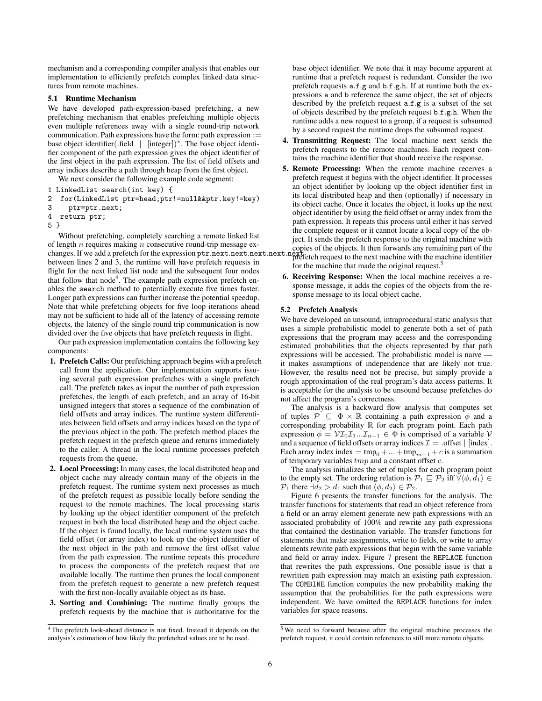mechanism and a corresponding compiler analysis that enables our implementation to efficiently prefetch complex linked data structures from remote machines.

#### 5.1 Runtime Mechanism

We have developed path-expression-based prefetching, a new prefetching mechanism that enables prefetching multiple objects even multiple references away with a single round-trip network communication. Path expressions have the form: path expression := base object identifier(.field | [integer])<sup>∗</sup> . The base object identifier component of the path expression gives the object identifier of the first object in the path expression. The list of field offsets and array indices describe a path through heap from the first object.

We next consider the following example code segment:

- 1 LinkedList search(int key) {<br>2 for(LinkedList ptr=head:ptr)
- 2 for(LinkedList ptr=head;ptr!=null&&ptr.key!=key)
- 3 ptr=ptr.next;
- 4 return ptr;
- 5 }

Without prefetching, completely searching a remote linked list of length  $n$  requires making  $n$  consecutive round-trip message exof length *n* requires making *n* consecutive found-trip message ex-<br>copies of the objects. It then forwards any remaining part of the<br>changes. If we add a prefetch for the expression ptr.next.next.next.next.next.next.next between lines 2 and 3, the runtime will have prefetch requests in flight for the next linked list node and the subsequent four nodes that follow that node<sup>4</sup>. The example path expression prefetch enables the search method to potentially execute five times faster. Longer path expressions can further increase the potential speedup. Note that while prefetching objects for five loop iterations ahead may not be sufficient to hide all of the latency of accessing remote objects, the latency of the single round trip communication is now divided over the five objects that have prefetch requests in flight.

Our path expression implementation contains the following key components:

- 1. Prefetch Calls: Our prefetching approach begins with a prefetch call from the application. Our implementation supports issuing several path expression prefetches with a single prefetch call. The prefetch takes as input the number of path expression prefetches, the length of each prefetch, and an array of 16-bit unsigned integers that stores a sequence of the combination of field offsets and array indices. The runtime system differentiates between field offsets and array indices based on the type of the previous object in the path. The prefetch method places the prefetch request in the prefetch queue and returns immediately to the caller. A thread in the local runtime processes prefetch requests from the queue.
- 2. Local Processing: In many cases, the local distributed heap and object cache may already contain many of the objects in the prefetch request. The runtime system next processes as much of the prefetch request as possible locally before sending the request to the remote machines. The local processing starts by looking up the object identifier component of the prefetch request in both the local distributed heap and the object cache. If the object is found locally, the local runtime system uses the field offset (or array index) to look up the object identifier of the next object in the path and remove the first offset value from the path expression. The runtime repeats this procedure to process the components of the prefetch request that are available locally. The runtime then prunes the local component from the prefetch request to generate a new prefetch request with the first non-locally available object as its base.
- 3. Sorting and Combining: The runtime finally groups the prefetch requests by the machine that is authoritative for the

base object identifier. We note that it may become apparent at runtime that a prefetch request is redundant. Consider the two prefetch requests a.f.g and b.f.g.h. If at runtime both the expressions a and b reference the same object, the set of objects described by the prefetch request a.f.g is a subset of the set of objects described by the prefetch request b.f.g.h. When the runtime adds a new request to a group, if a request is subsumed by a second request the runtime drops the subsumed request.

- 4. Transmitting Request: The local machine next sends the prefetch requests to the remote machines. Each request contains the machine identifier that should receive the response.
- 5. Remote Processing: When the remote machine receives a prefetch request it begins with the object identifier. It processes an object identifier by looking up the object identifier first in its local distributed heap and then (optionally) if necessary in its object cache. Once it locates the object, it looks up the next object identifier by using the field offset or array index from the path expression. It repeats this process until either it has served the complete request or it cannot locate a local copy of the object. It sends the prefetch response to the original machine with prefetch request to the next machine with the machine identifier

for the machine that made the original request.<sup>5</sup>

6. Receiving Response: When the local machine receives a response message, it adds the copies of the objects from the response message to its local object cache.

#### 5.2 Prefetch Analysis

We have developed an unsound, intraprocedural static analysis that uses a simple probabilistic model to generate both a set of path expressions that the program may access and the corresponding estimated probabilities that the objects represented by that path expressions will be accessed. The probabilistic model is naive it makes assumptions of independence that are likely not true. However, the results need not be precise, but simply provide a rough approximation of the real program's data access patterns. It is acceptable for the analysis to be unsound because prefetches do not affect the program's correctness.

The analysis is a backward flow analysis that computes set of tuples  $\mathcal{P} \subseteq \Phi \times \mathbb{R}$  containing a path expression  $\phi$  and a corresponding probability R for each program point. Each path expression  $\phi = \mathcal{V} \mathcal{I}_0 \mathcal{I}_1 ... \mathcal{I}_{n-1} \in \Phi$  is comprised of a variable  $\mathcal{V}$ and a sequence of field offsets or array indices  $\mathcal{I} = .$  offset  $|$  [index]. Each array index index = tmp<sub>0</sub> + ... + tmp<sub>m−1</sub> + c is a summation of temporary variables  $tmp$  and a constant offset  $c$ .

The analysis initializes the set of tuples for each program point to the empty set. The ordering relation is  $\mathcal{P}_1 \sqsubseteq \mathcal{P}_2$  iff  $\forall \langle \phi, d_1 \rangle \in$  $\mathcal{P}_1$  there  $\exists d_2 > d_1$  such that  $\langle \phi, d_2 \rangle \in \mathcal{P}_2$ .

Figure 6 presents the transfer functions for the analysis. The transfer functions for statements that read an object reference from a field or an array element generate new path expressions with an associated probability of 100% and rewrite any path expressions that contained the destination variable. The transfer functions for statements that make assignments, write to fields, or write to array elements rewrite path expressions that begin with the same variable and field or array index. Figure 7 present the REPLACE function that rewrites the path expressions. One possible issue is that a rewritten path expression may match an existing path expression. The COMBINE function computes the new probability making the assumption that the probabilities for the path expressions were independent. We have omitted the REPLACE functions for index variables for space reasons.

<sup>4</sup> The prefetch look-ahead distance is not fixed. Instead it depends on the analysis's estimation of how likely the prefetched values are to be used.

<sup>5</sup> We need to forward because after the original machine processes the prefetch request, it could contain references to still more remote objects.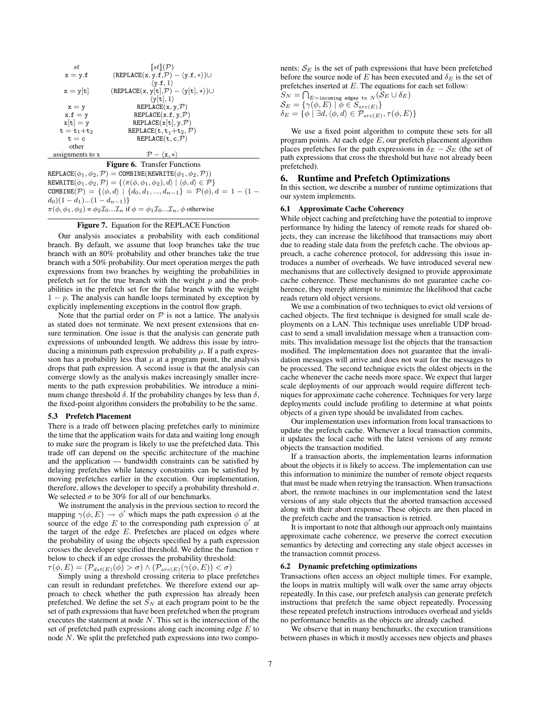| st               | $\llbracket st \rrbracket(\mathcal{P})$                        |
|------------------|----------------------------------------------------------------|
| $x = y.f$        | $(REPLACE(x, y.f, P) - (y.f, *)) \cup$                         |
|                  | $\langle \texttt{v.f.1} \rangle$                               |
| $x = y t $       | $(REPLACE(x, y[t], P) - \langle y[t], *\rangle) \cup$          |
|                  | $\langle y[t], 1 \rangle$                                      |
| $x = y$          | REPLACE(x, y, P)                                               |
| $x.f = y$        | REPLACE(x.f, y, P)                                             |
| $x[t] = y$       | REPLACE $(x[t], y, \mathcal{P})$                               |
| $t = t_1 + t_2$  | REPLACE $(\texttt{t}, \texttt{t}_1+\texttt{t}_2, \mathcal{P})$ |
| $t = c$          | REPLACE $(t, c, P)$                                            |
| other            |                                                                |
| assignments to x | $\mathcal{P} = \{x, * \}$                                      |
|                  |                                                                |

#### Figure 6. Transfer Functions

 $REPLACE(\phi_1, \phi_2, \mathcal{P}) = COMBINE(REWRITE(\phi_1, \phi_2, \mathcal{P}))$  $\texttt{REWRITE}(\phi_1, \phi_2, \mathcal{P}) = \{\langle \pi(\phi, \phi_1, \phi_2), d \rangle \mid \langle \phi, d \rangle \in \mathcal{P}\}$  $\texttt{COMBINE}(\mathcal{P}) \ = \ \{\langle \phi, d \rangle \ \ | \ \{d_0, d_1, ..., d_{n-1}\} \ = \ \mathcal{P}(\phi), d = 1 - (1 - 1)$  $d_0$ )(1 –  $d_1$ )...(1 –  $d_{n-1}$ )}  $\pi(\phi, \phi_1, \phi_2) = \phi_2 \mathcal{I}_0 \dots \mathcal{I}_n$  if  $\phi = \phi_1 \mathcal{I}_0 \dots \mathcal{I}_n$ ,  $\phi$  otherwise

#### Figure 7. Equation for the REPLACE Function

Our analysis associates a probability with each conditional branch. By default, we assume that loop branches take the true branch with an 80% probability and other branches take the true branch with a 50% probability. Our meet operation merges the path expressions from two branches by weighting the probabilities in prefetch set for the true branch with the weight  $p$  and the probabilities in the prefetch set for the false branch with the weight  $1 - p$ . The analysis can handle loops terminated by exception by explicitly implementing exceptions in the control flow graph.

Note that the partial order on  $P$  is not a lattice. The analysis as stated does not terminate. We next present extensions that ensure termination. One issue is that the analysis can generate path expressions of unbounded length. We address this issue by introducing a minimum path expression probability  $\mu$ . If a path expression has a probability less that  $\mu$  at a program point, the analysis drops that path expression. A second issue is that the analysis can converge slowly as the analysis makes increasingly smaller increments to the path expression probabilities. We introduce a minimum change threshold  $\delta$ . If the probability changes by less than  $\delta$ , the fixed-point algorithm considers the probability to be the same.

#### 5.3 Prefetch Placement

There is a trade off between placing prefetches early to minimize the time that the application waits for data and waiting long enough to make sure the program is likely to use the prefetched data. This trade off can depend on the specific architecture of the machine and the application — bandwidth constraints can be satisfied by delaying prefetches while latency constraints can be satisfied by moving prefetches earlier in the execution. Our implementation, therefore, allows the developer to specify a probability threshold  $\sigma$ . We selected  $\sigma$  to be 30% for all of our benchmarks.

We instrument the analysis in the previous section to record the mapping  $\gamma(\phi, E) \to \phi'$  which maps the path expression  $\phi$  at the source of the edge E to the corresponding path expression  $\phi'$  at the target of the edge  $E$ . Prefetches are placed on edges where the probability of using the objects specified by a path expression crosses the developer specified threshold. We define the function  $\tau$ below to check if an edge crosses the probability threshold:  $\tau(\phi, E) = (\mathcal{P}_{dst(E)}(\phi) > \sigma) \wedge (\mathcal{P}_{src(E)}(\gamma(\phi, E)) < \sigma)$ 

Simply using a threshold crossing criteria to place prefetches can result in redundant prefetches. We therefore extend our approach to check whether the path expression has already been prefetched. We define the set  $S_N$  at each program point to be the set of path expressions that have been prefetched when the program executes the statement at node  $N$ . This set is the intersection of the set of prefetched path expressions along each incoming edge  $E$  to node N. We split the prefetched path expressions into two components:  $S_E$  is the set of path expressions that have been prefetched before the source node of E has been executed and  $\delta_E$  is the set of prefetches inserted at E. The equations for each set follow:

$$
S_N = \bigcap_{E=\text{incoming edges to } N} (\mathcal{S}_E \cup \delta_E)
$$
  
\n
$$
\mathcal{S}_E = \{ \gamma(\phi, E) \mid \phi \in S_{src(E)} \}
$$
  
\n
$$
\delta_E = \{ \phi \mid \exists d, \langle \phi, d \rangle \in \mathcal{P}_{src(E)}, \tau(\phi, E) \}
$$

We use a fixed point algorithm to compute these sets for all program points. At each edge  $E$ , our prefetch placement algorithm places prefetches for the path expressions in  $\delta_E - \mathcal{S}_E$  (the set of path expressions that cross the threshold but have not already been prefetched).

#### 6. Runtime and Prefetch Optimizations

In this section, we describe a number of runtime optimizations that our system implements.

#### 6.1 Approximate Cache Coherency

While object caching and prefetching have the potential to improve performance by hiding the latency of remote reads for shared objects, they can increase the likelihood that transactions may abort due to reading stale data from the prefetch cache. The obvious approach, a cache coherence protocol, for addressing this issue introduces a number of overheads. We have introduced several new mechanisms that are collectively designed to provide approximate cache coherence. These mechanisms do not guarantee cache coherence, they merely attempt to minimize the likelihood that cache reads return old object versions.

We use a combination of two techniques to evict old versions of cached objects. The first technique is designed for small scale deployments on a LAN. This technique uses unreliable UDP broadcast to send a small invalidation message when a transaction commits. This invalidation message list the objects that the transaction modified. The implementation does not guarantee that the invalidation messages will arrive and does not wait for the messages to be processed. The second technique evicts the oldest objects in the cache whenever the cache needs more space. We expect that larger scale deployments of our approach would require different techniques for approximate cache coherence. Techniques for very large deployments could include profiling to determine at what points objects of a given type should be invalidated from caches.

Our implementation uses information from local transactions to update the prefetch cache. Whenever a local transaction commits, it updates the local cache with the latest versions of any remote objects the transaction modified.

If a transaction aborts, the implementation learns information about the objects it is likely to access. The implementation can use this information to minimize the number of remote object requests that must be made when retrying the transaction. When transactions abort, the remote machines in our implementation send the latest versions of any stale objects that the aborted transaction accessed along with their abort response. These objects are then placed in the prefetch cache and the transaction is retried.

It is important to note that although our approach only maintains approximate cache coherence, we preserve the correct execution semantics by detecting and correcting any stale object accesses in the transaction commit process.

#### 6.2 Dynamic prefetching optimizations

Transactions often access an object multiple times. For example, the loops in matrix multiply will walk over the same array objects repeatedly. In this case, our prefetch analysis can generate prefetch instructions that prefetch the same object repeatedly. Processing these repeated prefetch instructions introduces overhead and yields no performance benefits as the objects are already cached.

We observe that in many benchmarks, the execution transitions between phases in which it mostly accesses new objects and phases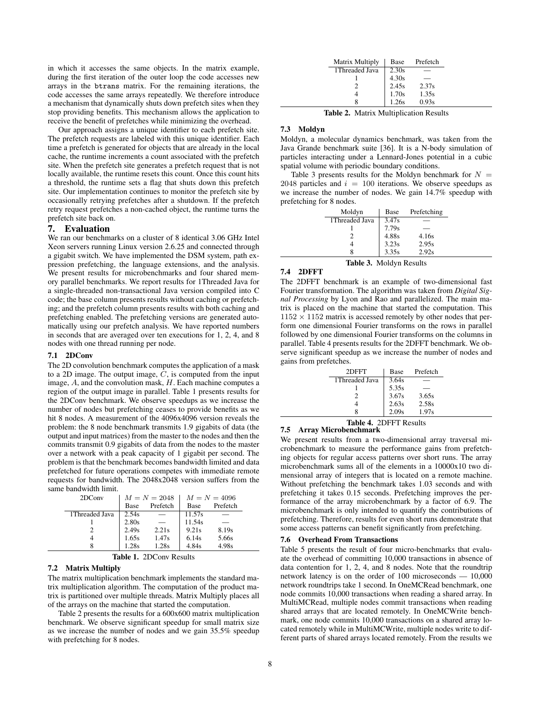in which it accesses the same objects. In the matrix example, during the first iteration of the outer loop the code accesses new arrays in the btrans matrix. For the remaining iterations, the code accesses the same arrays repeatedly. We therefore introduce a mechanism that dynamically shuts down prefetch sites when they stop providing benefits. This mechanism allows the application to receive the benefit of prefetches while minimizing the overhead.

Our approach assigns a unique identifier to each prefetch site. The prefetch requests are labeled with this unique identifier. Each time a prefetch is generated for objects that are already in the local cache, the runtime increments a count associated with the prefetch site. When the prefetch site generates a prefetch request that is not locally available, the runtime resets this count. Once this count hits a threshold, the runtime sets a flag that shuts down this prefetch site. Our implementation continues to monitor the prefetch site by occasionally retrying prefetches after a shutdown. If the prefetch retry request prefetches a non-cached object, the runtime turns the prefetch site back on.

#### 7. Evaluation

We ran our benchmarks on a cluster of 8 identical 3.06 GHz Intel Xeon servers running Linux version 2.6.25 and connected through a gigabit switch. We have implemented the DSM system, path expression prefetching, the language extensions, and the analysis. We present results for microbenchmarks and four shared memory parallel benchmarks. We report results for 1Threaded Java for a single-threaded non-transactional Java version compiled into C code; the base column presents results without caching or prefetching; and the prefetch column presents results with both caching and prefetching enabled. The prefetching versions are generated automatically using our prefetch analysis. We have reported numbers in seconds that are averaged over ten executions for 1, 2, 4, and 8 nodes with one thread running per node.

## 7.1 2DConv

The 2D convolution benchmark computes the application of a mask to a 2D image. The output image,  $\tilde{C}$ , is computed from the input image, A, and the convolution mask, H. Each machine computes a region of the output image in parallel. Table 1 presents results for the 2DConv benchmark. We observe speedups as we increase the number of nodes but prefetching ceases to provide benefits as we hit 8 nodes. A measurement of the 4096x4096 version reveals the problem: the 8 node benchmark transmits 1.9 gigabits of data (the output and input matrices) from the master to the nodes and then the commits transmit 0.9 gigabits of data from the nodes to the master over a network with a peak capacity of 1 gigabit per second. The problem is that the benchmark becomes bandwidth limited and data prefetched for future operations competes with immediate remote requests for bandwidth. The 2048x2048 version suffers from the same bandwidth limit.

| 2DConv          | $M = N = 2048$ |          | $M = N = 4096$ |          |
|-----------------|----------------|----------|----------------|----------|
|                 | Base           | Prefetch | <b>Base</b>    | Prefetch |
| 1 Threaded Java | 2.54s          |          | 11.57s         |          |
|                 | 2.80s          |          | 11.54s         |          |
|                 | 2.49s          | 2.21s    | 9.21s          | 8.19s    |
|                 | 1.65s          | 1.47s    | 6.14s          | 5.66s    |
| 8               | .28c           | 1.28s    | 4.84s          | 4.98s    |

## 7.2 Matrix Multiply

The matrix multiplication benchmark implements the standard matrix multiplication algorithm. The computation of the product matrix is partitioned over multiple threads. Matrix Multiply places all of the arrays on the machine that started the computation.

Table 2 presents the results for a 600x600 matrix multiplication benchmark. We observe significant speedup for small matrix size as we increase the number of nodes and we gain 35.5% speedup with prefetching for 8 nodes.

| Matrix Multiply | Base  | Prefetch |
|-----------------|-------|----------|
| 1Threaded Java  | 2.30s |          |
|                 | 4.30s |          |
|                 | 2.45s | 2.37s    |
|                 | 1.70s | 1.35s    |
|                 | 1.26s | 0.93s    |

Table 2. Matrix Multiplication Results

#### 7.3 Moldyn

Moldyn, a molecular dynamics benchmark, was taken from the Java Grande benchmark suite [36]. It is a N-body simulation of particles interacting under a Lennard-Jones potential in a cubic spatial volume with periodic boundary conditions.

Table 3 presents results for the Moldyn benchmark for  $N =$ 2048 particles and  $i = 100$  iterations. We observe speedups as we increase the number of nodes. We gain 14.7% speedup with prefetching for 8 nodes.

| Moldyn          | Base  | Prefetching |  |
|-----------------|-------|-------------|--|
| 1 Threaded Java | 3.47s |             |  |
|                 | 7.79s |             |  |
|                 | 4.88s | 4.16s       |  |
|                 | 3.23s | 2.95s       |  |
|                 | 3.35s | 2.92s       |  |

Table 3. Moldyn Results

#### 7.4 2DFFT

The 2DFFT benchmark is an example of two-dimensional fast Fourier transformation. The algorithm was taken from *Digital Signal Processing* by Lyon and Rao and parallelized. The main matrix is placed on the machine that started the computation. This  $1152 \times 1152$  matrix is accessed remotely by other nodes that perform one dimensional Fourier transforms on the rows in parallel followed by one dimensional Fourier transforms on the columns in parallel. Table 4 presents results for the 2DFFT benchmark. We observe significant speedup as we increase the number of nodes and gains from prefetches.

|               | 2DFFT          | Base  | Prefetch |  |
|---------------|----------------|-------|----------|--|
|               | 1Threaded Java | 3.64s |          |  |
|               |                | 5.35s |          |  |
|               |                | 3.67s | 3.65s    |  |
|               |                | 2.63s | 2.58s    |  |
|               |                | 2.09s | 1.97s    |  |
| ------<br>$-$ |                |       |          |  |

#### Table 4. 2DFFT Results 7.5 Array Microbenchmark

We present results from a two-dimensional array traversal microbenchmark to measure the performance gains from prefetching objects for regular access patterns over short runs. The array microbenchmark sums all of the elements in a 10000x10 two dimensional array of integers that is located on a remote machine. Without prefetching the benchmark takes 1.03 seconds and with prefetching it takes 0.15 seconds. Prefetching improves the performance of the array microbenchmark by a factor of 6.9. The microbenchmark is only intended to quantify the contributions of prefetching. Therefore, results for even short runs demonstrate that some access patterns can benefit significantly from prefetching.

#### 7.6 Overhead From Transactions

Table 5 presents the result of four micro-benchmarks that evaluate the overhead of committing 10,000 transactions in absence of data contention for 1, 2, 4, and 8 nodes. Note that the roundtrip network latency is on the order of 100 microseconds — 10,000 network roundtrips take 1 second. In OneMCRead benchmark, one node commits 10,000 transactions when reading a shared array. In MultiMCRead, multiple nodes commit transactions when reading shared arrays that are located remotely. In OneMCWrite benchmark, one node commits 10,000 transactions on a shared array located remotely while in MultiMCWrite, multiple nodes write to different parts of shared arrays located remotely. From the results we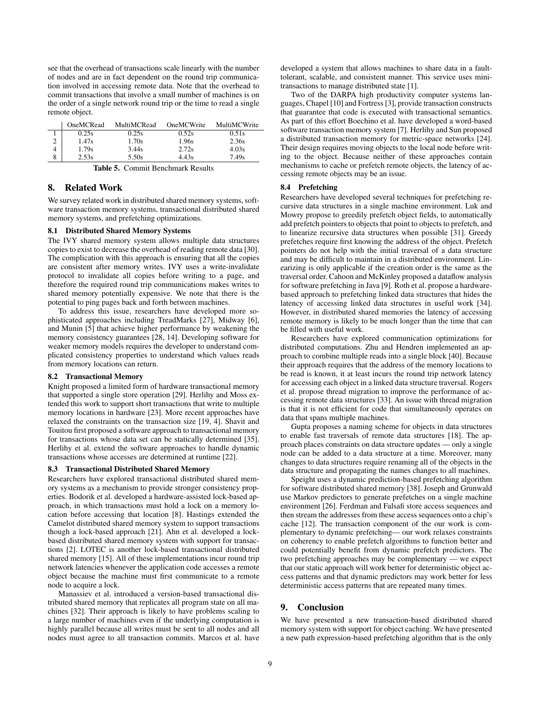see that the overhead of transactions scale linearly with the number of nodes and are in fact dependent on the round trip communication involved in accessing remote data. Note that the overhead to commit transactions that involve a small number of machines is on the order of a single network round trip or the time to read a single remote object.

|   | OneMCRead | MultiMCRead | OneMCWrite | MultiMCWrite |
|---|-----------|-------------|------------|--------------|
|   | 0.25s     | 0.25s       | 0.52s      | 0.51s        |
|   | 1.47s     | 1.70s       | 1.96s      | 2.36s        |
|   | 1.79s     | 3.44s       | 2.72s      | 4.03s        |
| 8 | 2.53s     | 5.50s       | 4.43s      | 7.49s        |

Table 5. Commit Benchmark Results

## 8. Related Work

We survey related work in distributed shared memory systems, software transaction memory systems, transactional distributed shared memory systems, and prefetching optimizations.

#### 8.1 Distributed Shared Memory Systems

The IVY shared memory system allows multiple data structures copies to exist to decrease the overhead of reading remote data [30]. The complication with this approach is ensuring that all the copies are consistent after memory writes. IVY uses a write-invalidate protocol to invalidate all copies before writing to a page, and therefore the required round trip communications makes writes to shared memory potentially expensive. We note that there is the potential to ping pages back and forth between machines.

To address this issue, researchers have developed more sophisticated approaches including TreadMarks [27], Midway [6], and Munin [5] that achieve higher performance by weakening the memory consistency guarantees [28, 14]. Developing software for weaker memory models requires the developer to understand complicated consistency properties to understand which values reads from memory locations can return.

#### 8.2 Transactional Memory

Knight proposed a limited form of hardware transactional memory that supported a single store operation [29]. Herlihy and Moss extended this work to support short transactions that write to multiple memory locations in hardware [23]. More recent approaches have relaxed the constraints on the transaction size [19, 4]. Shavit and Touitou first proposed a software approach to transactional memory for transactions whose data set can be statically determined [35]. Herlihy et al. extend the software approaches to handle dynamic transactions whose accesses are determined at runtime [22].

#### 8.3 Transactional Distributed Shared Memory

Researchers have explored transactional distributed shared memory systems as a mechanism to provide stronger consistency properties. Bodorik et al. developed a hardware-assisted lock-based approach, in which transactions must hold a lock on a memory location before accessing that location [8]. Hastings extended the Camelot distributed shared memory system to support transactions though a lock-based approach [21]. Ahn et al. developed a lockbased distributed shared memory system with support for transactions [2]. LOTEC is another lock-based transactional distributed shared memory [15]. All of these implementations incur round trip network latencies whenever the application code accesses a remote object because the machine must first communicate to a remote node to acquire a lock.

Manassiev et al. introduced a version-based transactional distributed shared memory that replicates all program state on all machines [32]. Their approach is likely to have problems scaling to a large number of machines even if the underlying computation is highly parallel because all writes must be sent to all nodes and all nodes must agree to all transaction commits. Marcos et al. have developed a system that allows machines to share data in a faulttolerant, scalable, and consistent manner. This service uses minitransactions to manage distributed state [1].

Two of the DARPA high productivity computer systems languages, Chapel [10] and Fortress [3], provide transaction constructs that guarantee that code is executed with transactional semantics. As part of this effort Boechino et al. have developed a word-based software transaction memory system [7]. Herlihy and Sun proposed a distributed transaction memory for metric-space networks [24]. Their design requires moving objects to the local node before writing to the object. Because neither of these approaches contain mechanisms to cache or prefetch remote objects, the latency of accessing remote objects may be an issue.

#### 8.4 Prefetching

Researchers have developed several techniques for prefetching recursive data structures in a single machine environment. Luk and Mowry propose to greedily prefetch object fields, to automatically add prefetch pointers to objects that point to objects to prefetch, and to linearize recursive data structures when possible [31]. Greedy prefetches require first knowing the address of the object. Prefetch pointers do not help with the initial traversal of a data structure and may be difficult to maintain in a distributed environment. Linearizing is only applicable if the creation order is the same as the traversal order. Cahoon and McKinley proposed a dataflow analysis for software prefetching in Java [9]. Roth et al. propose a hardwarebased approach to prefetching linked data structures that hides the latency of accessing linked data structures in useful work [34]. However, in distributed shared memories the latency of accessing remote memory is likely to be much longer than the time that can be filled with useful work.

Researchers have explored communication optimizations for distributed computations. Zhu and Hendren implemented an approach to combine multiple reads into a single block [40]. Because their approach requires that the address of the memory locations to be read is known, it at least incurs the round trip network latency for accessing each object in a linked data structure traversal. Rogers et al. propose thread migration to improve the performance of accessing remote data structures [33]. An issue with thread migration is that it is not efficient for code that simultaneously operates on data that spans multiple machines.

Gupta proposes a naming scheme for objects in data structures to enable fast traversals of remote data structures [18]. The approach places constraints on data structure updates — only a single node can be added to a data structure at a time. Moreover, many changes to data structures require renaming all of the objects in the data structure and propagating the names changes to all machines.

Speight uses a dynamic prediction-based prefetching algorithm for software distributed shared memory [38]. Joseph and Grunwald use Markov predictors to generate prefetches on a single machine environment [26]. Ferdman and Falsafi store access sequences and then stream the addresses from these access sequences onto a chip's cache [12]. The transaction component of the our work is complementary to dynamic prefetching— our work relaxes constraints on coherency to enable prefetch algorithms to function better and could potentially benefit from dynamic prefetch predictors. The two prefetching approaches may be complementary — we expect that our static approach will work better for deterministic object access patterns and that dynamic predictors may work better for less deterministic access patterns that are repeated many times.

## 9. Conclusion

We have presented a new transaction-based distributed shared memory system with support for object caching. We have presented a new path expression-based prefetching algorithm that is the only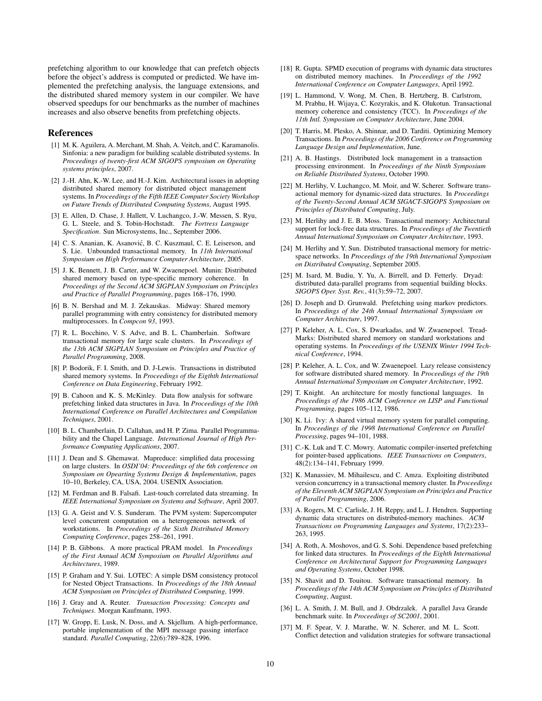prefetching algorithm to our knowledge that can prefetch objects before the object's address is computed or predicted. We have implemented the prefetching analysis, the language extensions, and the distributed shared memory system in our compiler. We have observed speedups for our benchmarks as the number of machines increases and also observe benefits from prefetching objects.

#### References

- [1] M. K. Aguilera, A. Merchant, M. Shah, A. Veitch, and C. Karamanolis. Sinfonia: a new paradigm for building scalable distributed systems. In *Proceedings of twenty-first ACM SIGOPS symposium on Operating systems principles*, 2007.
- [2] J.-H. Ahn, K.-W. Lee, and H.-J. Kim. Architectural issues in adopting distributed shared memory for distributed object management systems. In *Proceedings of the Fifth IEEE Computer Society Workshop on Future Trends of Distributed Computing Systems*, August 1995.
- [3] E. Allen, D. Chase, J. Hallett, V. Luchangco, J.-W. Messen, S. Ryu, G. L. Steele, and S. Tobin-Hochstadt. *The Fortress Language Specification*. Sun Microsystems, Inc., September 2006.
- [4] C. S. Ananian, K. Asanović, B. C. Kuszmaul, C. E. Leiserson, and S. Lie. Unbounded transactional memory. In *11th International Symposium on High Performance Computer Architecture*, 2005.
- [5] J. K. Bennett, J. B. Carter, and W. Zwaenepoel. Munin: Distributed shared memory based on type-specific memory coherence. In *Proceedings of the Second ACM SIGPLAN Symposium on Principles and Practice of Parallel Programming*, pages 168–176, 1990.
- [6] B. N. Bershad and M. J. Zekauskas. Midway: Shared memory parallel programming with entry consistency for distributed memory multiprocessors. In *Compcon 93*, 1993.
- [7] R. L. Bocchino, V. S. Adve, and B. L. Chamberlain. Software transactional memory for large scale clusters. In *Proceedings of the 13th ACM SIGPLAN Symposium on Principles and Practice of Parallel Programming*, 2008.
- [8] P. Bodorik, F. I. Smith, and D. J-Lewis. Transactions in distributed shared memory systems. In *Proceedings of the Eigthth International Conference on Data Engineering*, February 1992.
- [9] B. Cahoon and K. S. McKinley. Data flow analysis for software prefetching linked data structures in Java. In *Proceedings of the 10th International Conference on Parallel Architectures and Compilation Techniques*, 2001.
- [10] B. L. Chamberlain, D. Callahan, and H. P. Zima. Parallel Programmability and the Chapel Language. *International Journal of High Performance Computing Applications*, 2007.
- [11] J. Dean and S. Ghemawat. Mapreduce: simplified data processing on large clusters. In *OSDI'04: Proceedings of the 6th conference on Symposium on Opearting Systems Design & Implementation*, pages 10–10, Berkeley, CA, USA, 2004. USENIX Association.
- [12] M. Ferdman and B. Falsafi. Last-touch correlated data streaming. In *IEEE International Symposium on Systems and Software*, April 2007.
- [13] G. A. Geist and V. S. Sunderam. The PVM system: Supercomputer level concurrent computation on a heterogeneous network of workstations. In *Proceedings of the Sixth Distributed Memory Computing Conference*, pages 258–261, 1991.
- [14] P. B. Gibbons. A more practical PRAM model. In *Proceedings of the First Annual ACM Symposium on Parallel Algorithms and Architectures*, 1989.
- [15] P. Graham and Y. Sui. LOTEC: A simple DSM consistency protocol for Nested Object Transactions. In *Proceedings of the 18th Annual ACM Symposium on Principles of Distributed Computing*, 1999.
- [16] J. Gray and A. Reuter. *Transaction Processing: Concepts and Techniques*. Morgan Kaufmann, 1993.
- [17] W. Gropp, E. Lusk, N. Doss, and A. Skjellum. A high-performance, portable implementation of the MPI message passing interface standard. *Parallel Computing*, 22(6):789–828, 1996.
- [18] R. Gupta. SPMD execution of programs with dynamic data structures on distributed memory machines. In *Proceedings of the 1992 International Conference on Computer Languages*, April 1992.
- [19] L. Hammond, V. Wong, M. Chen, B. Hertzberg, B. Carlstrom, M. Prabhu, H. Wijaya, C. Kozyrakis, and K. Olukotun. Transactional memory coherence and consistency (TCC). In *Proceedings of the 11th Intl. Symposium on Computer Architecture*, June 2004.
- [20] T. Harris, M. Plesko, A. Shinnar, and D. Tarditi. Optimizing Memory Transactions. In *Proceedings of the 2006 Conference on Programming Language Design and Implementation*, June.
- [21] A. B. Hastings. Distributed lock management in a transaction processing environment. In *Proceedings of the Ninth Symposium on Reliable Distributed Systems*, October 1990.
- [22] M. Herlihy, V. Luchangco, M. Moir, and W. Scherer. Software transactional memory for dynamic-sized data structures. In *Proceedings of the Twenty-Second Annual ACM SIGACT-SIGOPS Symposium on Principles of Distributed Computing*, July.
- [23] M. Herlihy and J. E. B. Moss. Transactional memory: Architectural support for lock-free data structures. In *Proceedings of the Twentieth Annual International Symposium on Computer Architecture*, 1993.
- [24] M. Herlihy and Y. Sun. Distributed transactional memory for metricspace networks. In *Proceedings of the 19th International Symposium on Distributed Computing*, September 2005.
- [25] M. Isard, M. Budiu, Y. Yu, A. Birrell, and D. Fetterly. Dryad: distributed data-parallel programs from sequential building blocks. *SIGOPS Oper. Syst. Rev.*, 41(3):59–72, 2007.
- [26] D. Joseph and D. Grunwald. Prefetching using markov predictors. In *Proceedings of the 24th Annual International Symposium on Computer Architecture*, 1997.
- [27] P. Keleher, A. L. Cox, S. Dwarkadas, and W. Zwaenepoel. Tread-Marks: Distributed shared memory on standard workstations and operating systems. In *Proceedings of the USENIX Winter 1994 Technical Conference*, 1994.
- [28] P. Keleher, A. L. Cox, and W. Zwaenepoel. Lazy release consistency for software distributed shared memory. In *Proceedings of the 19th Annual International Symposium on Computer Architecture*, 1992.
- [29] T. Knight. An architecture for mostly functional languages. In *Proceedings of the 1986 ACM Conference on LISP and Functional Programming*, pages 105–112, 1986.
- [30] K. Li. Ivy: A shared virtual memory system for parallel computing. In *Proceedings of the 1998 International Conference on Parallel Processing*, pages 94–101, 1988.
- [31] C.-K. Luk and T. C. Mowry. Automatic compiler-inserted prefetching for pointer-based applications. *IEEE Transactions on Computers*, 48(2):134–141, February 1999.
- [32] K. Manassiev, M. Mihailescu, and C. Amza. Exploiting distributed version concurrency in a transactional memory cluster. In *Proceedings of the Eleventh ACM SIGPLAN Symposium on Principles and Practice of Parallel Programming*, 2006.
- [33] A. Rogers, M. C. Carlisle, J. H. Reppy, and L. J. Hendren. Supporting dynamic data structures on distributed-memory machines. *ACM Transactions on Programming Languages and Systems*, 17(2):233– 263, 1995.
- [34] A. Roth, A. Moshovos, and G. S. Sohi. Dependence based prefetching for linked data structures. In *Proceedings of the Eighth International Conference on Architectural Support for Programming Languages and Operating Systems*, October 1998.
- [35] N. Shavit and D. Touitou. Software transactional memory. In *Proceedings of the 14th ACM Symposium on Principles of Distributed Computing*, August.
- [36] L. A. Smith, J. M. Bull, and J. Obdrzalek. A parallel Java Grande benchmark suite. In *Proceedings of SC2001*, 2001.
- [37] M. F. Spear, V. J. Marathe, W. N. Scherer, and M. L. Scott. Conflict detection and validation strategies for software transactional